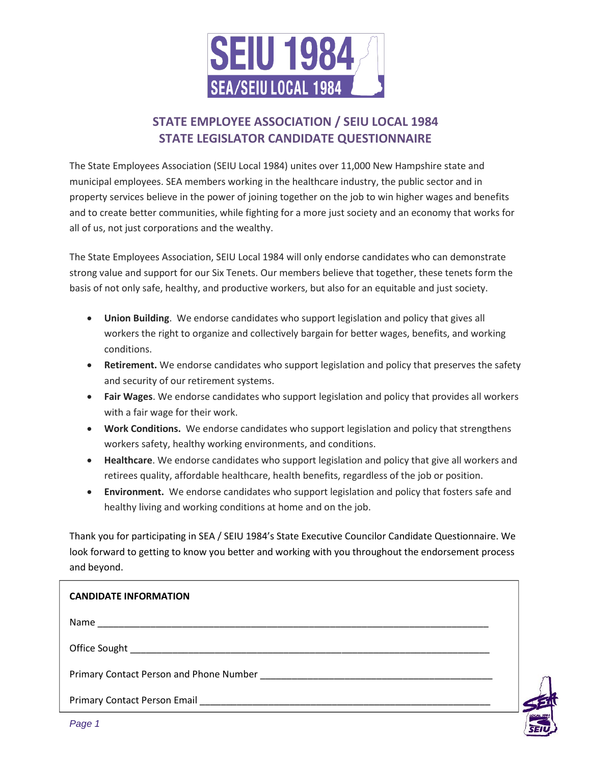

# **STATE EMPLOYEE ASSOCIATION / SEIU LOCAL 1984 STATE LEGISLATOR CANDIDATE QUESTIONNAIRE**

The State Employees Association (SEIU Local 1984) unites over 11,000 New Hampshire state and municipal employees. SEA members working in the healthcare industry, the public sector and in property services believe in the power of joining together on the job to win higher wages and benefits and to create better communities, while fighting for a more just society and an economy that works for all of us, not just corporations and the wealthy.

The State Employees Association, SEIU Local 1984 will only endorse candidates who can demonstrate strong value and support for our Six Tenets. Our members believe that together, these tenets form the basis of not only safe, healthy, and productive workers, but also for an equitable and just society.

- **Union Building**. We endorse candidates who support legislation and policy that gives all workers the right to organize and collectively bargain for better wages, benefits, and working conditions.
- **Retirement.** We endorse candidates who support legislation and policy that preserves the safety and security of our retirement systems.
- **Fair Wages**. We endorse candidates who support legislation and policy that provides all workers with a fair wage for their work.
- **Work Conditions.** We endorse candidates who support legislation and policy that strengthens workers safety, healthy working environments, and conditions.
- **Healthcare**. We endorse candidates who support legislation and policy that give all workers and retirees quality, affordable healthcare, health benefits, regardless of the job or position.
- **Environment.** We endorse candidates who support legislation and policy that fosters safe and healthy living and working conditions at home and on the job.

Thank you for participating in SEA / SEIU 1984's State Executive Councilor Candidate Questionnaire. We look forward to getting to know you better and working with you throughout the endorsement process and beyond.

| <b>CANDIDATE INFORMATION</b> |  |
|------------------------------|--|
|                              |  |
|                              |  |
|                              |  |
|                              |  |

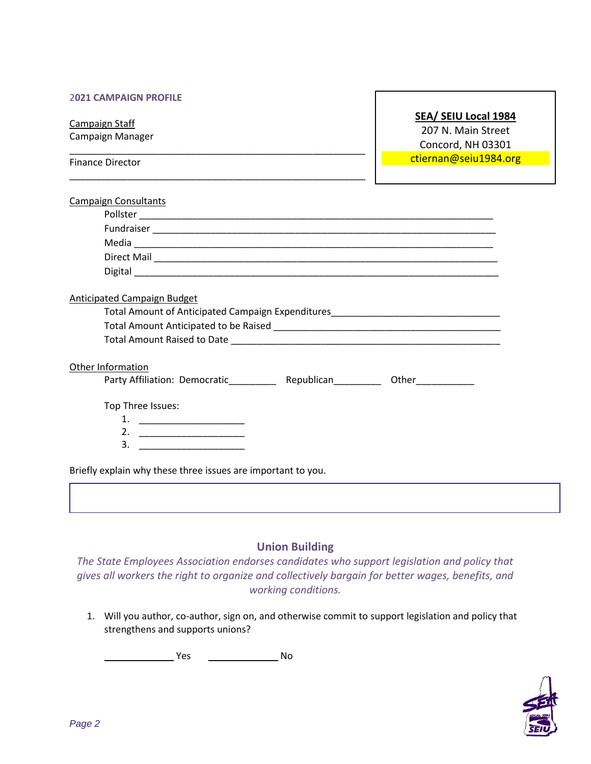#### 2**021 CAMPAIGN PROFILE**

\_\_\_\_\_\_\_\_\_\_\_\_\_\_\_\_\_\_\_\_\_\_\_\_\_\_\_\_\_\_\_\_\_\_\_\_\_\_\_\_\_\_\_\_\_\_\_\_\_\_\_\_\_\_\_\_

\_\_\_\_\_\_\_\_\_\_\_\_\_\_\_\_\_\_\_\_\_\_\_\_\_\_\_\_\_\_\_\_\_\_\_\_\_\_\_\_\_\_\_\_\_\_\_\_\_\_\_\_\_\_\_\_

Campaign Staff Campaign Manager

Finance Director

**SEA/ SEIU Local 1984**

207 N. Main Street Concord, NH 03301 ctiernan@seiu1984.org

| <b>Campaign Consultants</b>                                                       |
|-----------------------------------------------------------------------------------|
|                                                                                   |
|                                                                                   |
|                                                                                   |
|                                                                                   |
|                                                                                   |
| Anticipated Campaign Budget                                                       |
| Total Amount of Anticipated Campaign Expenditures_______________________________  |
|                                                                                   |
|                                                                                   |
| Other Information                                                                 |
| Party Affiliation: Democratic_____________ Republican____________ Other__________ |
| Top Three Issues:                                                                 |
| 1. $\qquad \qquad$                                                                |
|                                                                                   |
| 3.                                                                                |
|                                                                                   |
| Briefly explain why these three issues are important to you.                      |

## **Union Building**

*The State Employees Association endorses candidates who support legislation and policy that gives all workers the right to organize and collectively bargain for better wages, benefits, and working conditions.*

1. Will you author, co-author, sign on, and otherwise commit to support legislation and policy that strengthens and supports unions?

. The Mess of the Mess of the Mess of the Mess of the Mess of the Mess of the Mess of the Mess of the Mess of the Me<br>The Mess of the Mess of the Mess of the Mess of the Mess of the Mess of the Mess of the Mess of the Mess

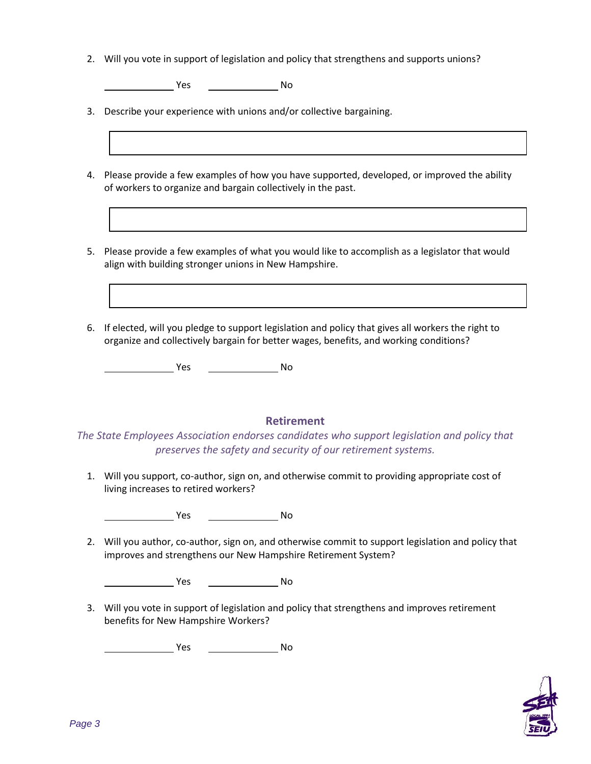2. Will you vote in support of legislation and policy that strengthens and supports unions?

**No. 2.1. No. 2.1. No. 2.1. No. 2.1. No. 2.1. No. 2.1. No. 2.1. No. 2.1. No. 2.1. No. 2.1. No. 2.1. No. 2.1. No** 

3. Describe your experience with unions and/or collective bargaining.

- 4. Please provide a few examples of how you have supported, developed, or improved the ability of workers to organize and bargain collectively in the past.
- 5. Please provide a few examples of what you would like to accomplish as a legislator that would align with building stronger unions in New Hampshire.
- 6. If elected, will you pledge to support legislation and policy that gives all workers the right to organize and collectively bargain for better wages, benefits, and working conditions?

<u>Note</u> Note that the New Yes and Note that the Note that the Note that the Note that the Note that the Note that the Note that the Note that the Note that the Note that the Note that the Note that the Note that the Note th

## **Retirement**

*The State Employees Association endorses candidates who support legislation and policy that preserves the safety and security of our retirement systems.*

1. Will you support, co-author, sign on, and otherwise commit to providing appropriate cost of living increases to retired workers?

**The Street Street Street Street Street Street Street Street Street Street Street Street Street Street Street S** 

2. Will you author, co-author, sign on, and otherwise commit to support legislation and policy that improves and strengthens our New Hampshire Retirement System?

. Yes No

3. Will you vote in support of legislation and policy that strengthens and improves retirement benefits for New Hampshire Workers?

. Yes No

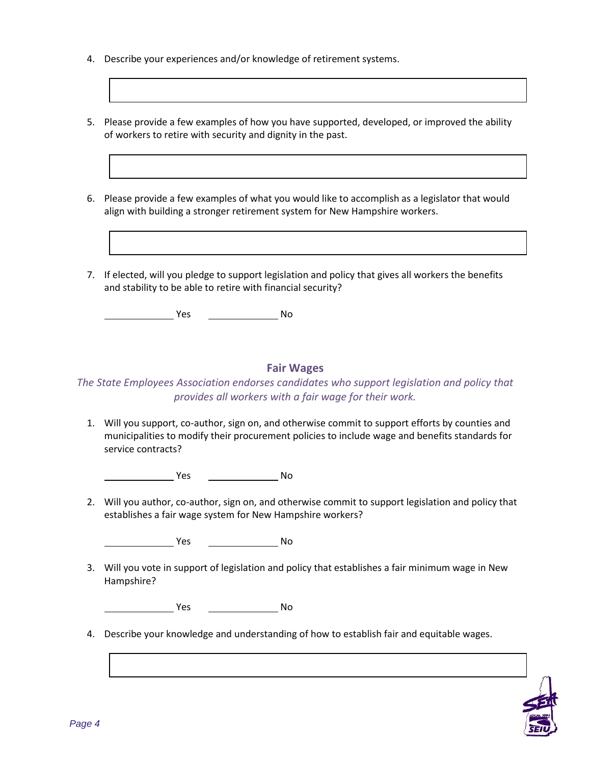- 4. Describe your experiences and/or knowledge of retirement systems.
- 5. Please provide a few examples of how you have supported, developed, or improved the ability of workers to retire with security and dignity in the past.
- 6. Please provide a few examples of what you would like to accomplish as a legislator that would align with building a stronger retirement system for New Hampshire workers.
- 7. If elected, will you pledge to support legislation and policy that gives all workers the benefits and stability to be able to retire with financial security?

**The Second Second Second Second Second Second Second Second Second Second Second Second Second Second Second Second Second Second Second Second Second Second Second Second Second Second Second Second Second Second Second** 

#### **Fair Wages**

## *The State Employees Association endorses candidates who support legislation and policy that provides all workers with a fair wage for their work.*

1. Will you support, co-author, sign on, and otherwise commit to support efforts by counties and municipalities to modify their procurement policies to include wage and benefits standards for service contracts?

**The Street Street Street Street Street Street Street Street Street Street Street Street Street Street Street S** 

2. Will you author, co-author, sign on, and otherwise commit to support legislation and policy that establishes a fair wage system for New Hampshire workers?

**. Yes No. 2018** No. 2019

3. Will you vote in support of legislation and policy that establishes a fair minimum wage in New Hampshire?

**The Street Street Street Street Street Street Street Street Street Street Street Street Street Street Street S** 

4. Describe your knowledge and understanding of how to establish fair and equitable wages.

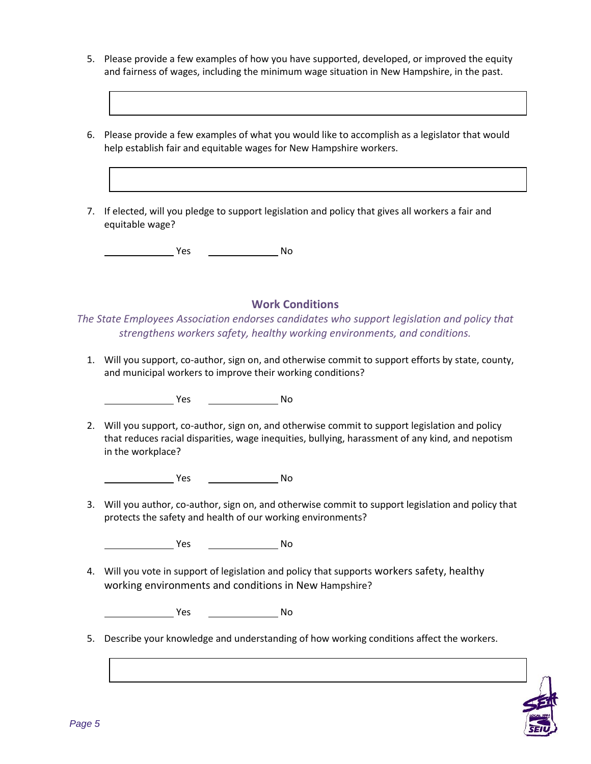- 5. Please provide a few examples of how you have supported, developed, or improved the equity and fairness of wages, including the minimum wage situation in New Hampshire, in the past.
- 6. Please provide a few examples of what you would like to accomplish as a legislator that would help establish fair and equitable wages for New Hampshire workers.
- 7. If elected, will you pledge to support legislation and policy that gives all workers a fair and equitable wage?

**The Street Street Street Street Street Street Street Street Street Street Street Street Street Street Street S** 

### **Work Conditions**

*The State Employees Association endorses candidates who support legislation and policy that strengthens workers safety, healthy working environments, and conditions.*

1. Will you support, co-author, sign on, and otherwise commit to support efforts by state, county, and municipal workers to improve their working conditions?

**The Structure Vestion And No. 2016** 

2. Will you support, co-author, sign on, and otherwise commit to support legislation and policy that reduces racial disparities, wage inequities, bullying, harassment of any kind, and nepotism in the workplace?

**The Structure Vestion And No. 1998** 

3. Will you author, co-author, sign on, and otherwise commit to support legislation and policy that protects the safety and health of our working environments?

**The Street Street Street Street Street Street Street Street Street Street Street Street Street Street Street S** 

4. Will you vote in support of legislation and policy that supports workers safety, healthy working environments and conditions in New Hampshire?

**The Structure Pressure Pressure Pressure Pressure Pressure Pressure Pressure Pressure Pressure Pressure Pressure** 

5. Describe your knowledge and understanding of how working conditions affect the workers.

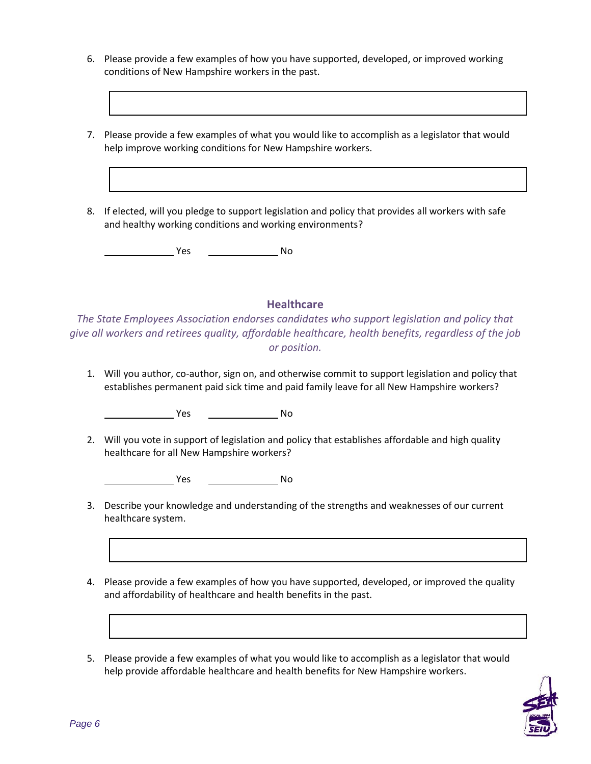- 6. Please provide a few examples of how you have supported, developed, or improved working conditions of New Hampshire workers in the past.
- 7. Please provide a few examples of what you would like to accomplish as a legislator that would help improve working conditions for New Hampshire workers.
- 8. If elected, will you pledge to support legislation and policy that provides all workers with safe and healthy working conditions and working environments?

Yes No

#### **Healthcare**

*The State Employees Association endorses candidates who support legislation and policy that give all workers and retirees quality, affordable healthcare, health benefits, regardless of the job or position.*

1. Will you author, co-author, sign on, and otherwise commit to support legislation and policy that establishes permanent paid sick time and paid family leave for all New Hampshire workers?

**The Second Second Second Second Second Second Second Second Second Second Second Second Second Second Second Second Second Second Second Second Second Second Second Second Second Second Second Second Second Second Second** 

2. Will you vote in support of legislation and policy that establishes affordable and high quality healthcare for all New Hampshire workers?

. Yes No

- 3. Describe your knowledge and understanding of the strengths and weaknesses of our current healthcare system.
- 4. Please provide a few examples of how you have supported, developed, or improved the quality and affordability of healthcare and health benefits in the past.
- 5. Please provide a few examples of what you would like to accomplish as a legislator that would help provide affordable healthcare and health benefits for New Hampshire workers.